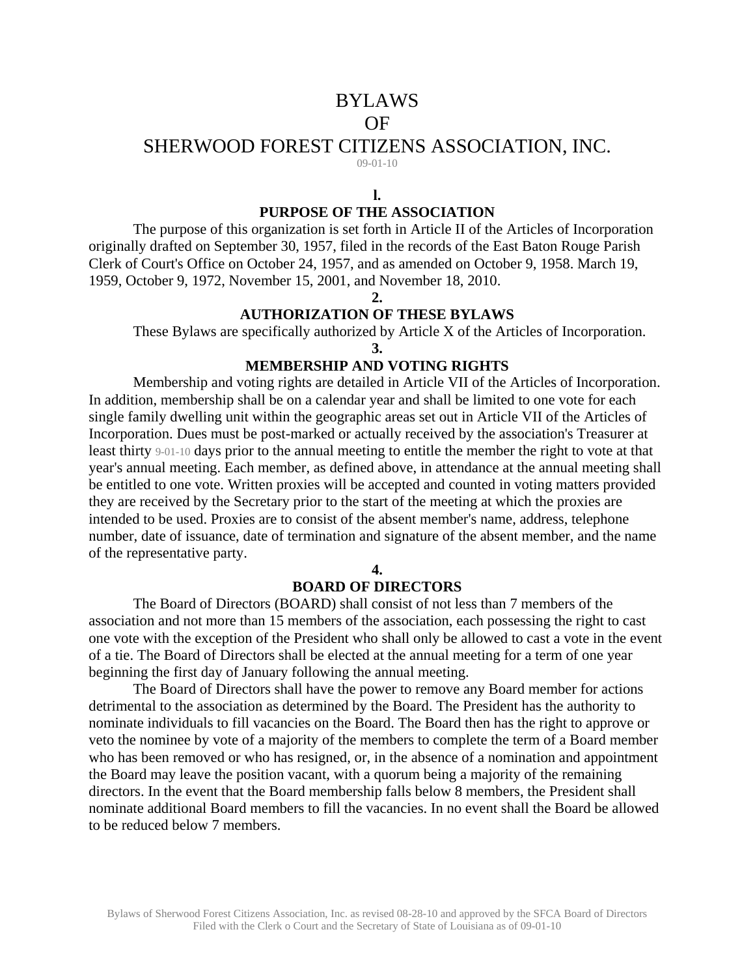# BYLAWS

## OF

# SHERWOOD FOREST CITIZENS ASSOCIATION, INC.

 $(09-01-10)$ 

#### **l. PURPOSE OF THE ASSOCIATION**

The purpose of this organization is set forth in Article II of the Articles of Incorporation originally drafted on September 30, 1957, filed in the records of the East Baton Rouge Parish Clerk of Court's Office on October 24, 1957, and as amended on October 9, 1958. March 19, 1959, October 9, 1972, November 15, 2001, and November 18, 2010.

 $\mathcal{L}$ 

# **AUTHORIZATION OF THESE BYLAWS**

These Bylaws are specifically authorized by Article X of the Articles of Incorporation.

**3.** 

## **MEMBERSHIP AND VOTING RIGHTS**

Membership and voting rights are detailed in Article VII of the Articles of Incorporation. In addition, membership shall be on a calendar year and shall be limited to one vote for each single family dwelling unit within the geographic areas set out in Article VII of the Articles of Incorporation. Dues must be post-marked or actually received by the association's Treasurer at least thirty 9-01-10 days prior to the annual meeting to entitle the member the right to vote at that year's annual meeting. Each member, as defined above, in attendance at the annual meeting shall be entitled to one vote. Written proxies will be accepted and counted in voting matters provided they are received by the Secretary prior to the start of the meeting at which the proxies are intended to be used. Proxies are to consist of the absent member's name, address, telephone number, date of issuance, date of termination and signature of the absent member, and the name of the representative party.

**4.** 

## **BOARD OF DIRECTORS**

The Board of Directors (BOARD) shall consist of not less than 7 members of the association and not more than 15 members of the association, each possessing the right to cast one vote with the exception of the President who shall only be allowed to cast a vote in the event of a tie. The Board of Directors shall be elected at the annual meeting for a term of one year beginning the first day of January following the annual meeting.

The Board of Directors shall have the power to remove any Board member for actions detrimental to the association as determined by the Board. The President has the authority to nominate individuals to fill vacancies on the Board. The Board then has the right to approve or veto the nominee by vote of a majority of the members to complete the term of a Board member who has been removed or who has resigned, or, in the absence of a nomination and appointment the Board may leave the position vacant, with a quorum being a majority of the remaining directors. In the event that the Board membership falls below 8 members, the President shall nominate additional Board members to fill the vacancies. In no event shall the Board be allowed to be reduced below 7 members.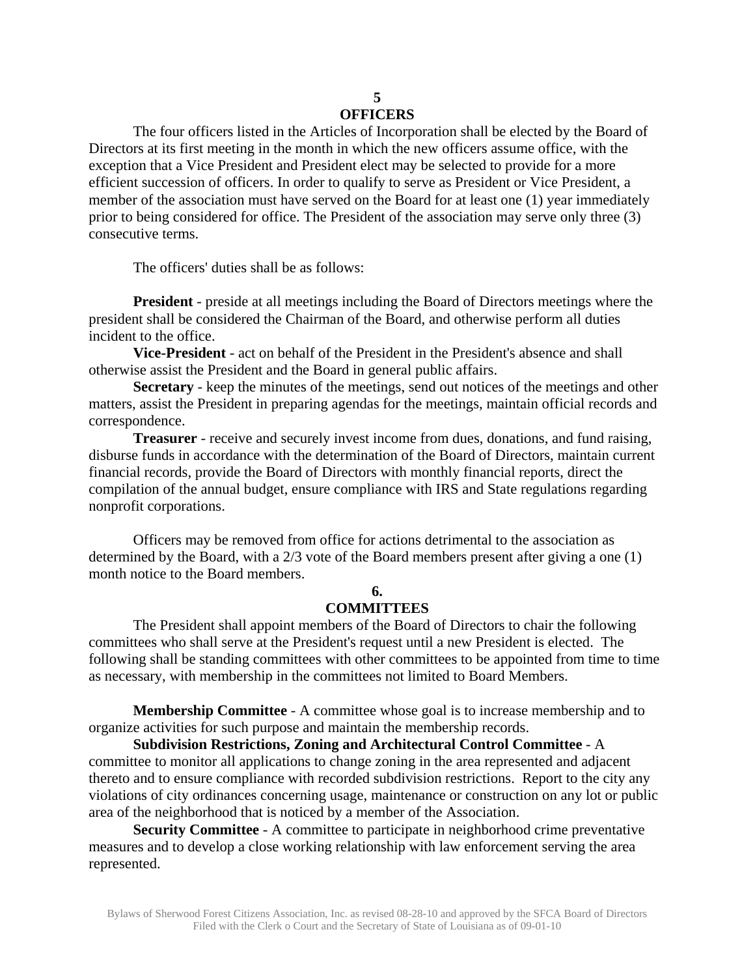#### **5 OFFICERS**

The four officers listed in the Articles of Incorporation shall be elected by the Board of Directors at its first meeting in the month in which the new officers assume office, with the exception that a Vice President and President elect may be selected to provide for a more efficient succession of officers. In order to qualify to serve as President or Vice President, a member of the association must have served on the Board for at least one (1) year immediately prior to being considered for office. The President of the association may serve only three (3) consecutive terms.

The officers' duties shall be as follows:

**President** - preside at all meetings including the Board of Directors meetings where the president shall be considered the Chairman of the Board, and otherwise perform all duties incident to the office.

**Vice-President** - act on behalf of the President in the President's absence and shall otherwise assist the President and the Board in general public affairs.

**Secretary** - keep the minutes of the meetings, send out notices of the meetings and other matters, assist the President in preparing agendas for the meetings, maintain official records and correspondence.

**Treasurer** - receive and securely invest income from dues, donations, and fund raising, disburse funds in accordance with the determination of the Board of Directors, maintain current financial records, provide the Board of Directors with monthly financial reports, direct the compilation of the annual budget, ensure compliance with IRS and State regulations regarding nonprofit corporations.

Officers may be removed from office for actions detrimental to the association as determined by the Board, with a 2/3 vote of the Board members present after giving a one (1) month notice to the Board members.

# **6.**

#### **COMMITTEES**

The President shall appoint members of the Board of Directors to chair the following committees who shall serve at the President's request until a new President is elected. The following shall be standing committees with other committees to be appointed from time to time as necessary, with membership in the committees not limited to Board Members.

**Membership Committee** - A committee whose goal is to increase membership and to organize activities for such purpose and maintain the membership records.

**Subdivision Restrictions, Zoning and Architectural Control Committee** - A committee to monitor all applications to change zoning in the area represented and adjacent thereto and to ensure compliance with recorded subdivision restrictions. Report to the city any violations of city ordinances concerning usage, maintenance or construction on any lot or public area of the neighborhood that is noticed by a member of the Association.

**Security Committee** - A committee to participate in neighborhood crime preventative measures and to develop a close working relationship with law enforcement serving the area represented.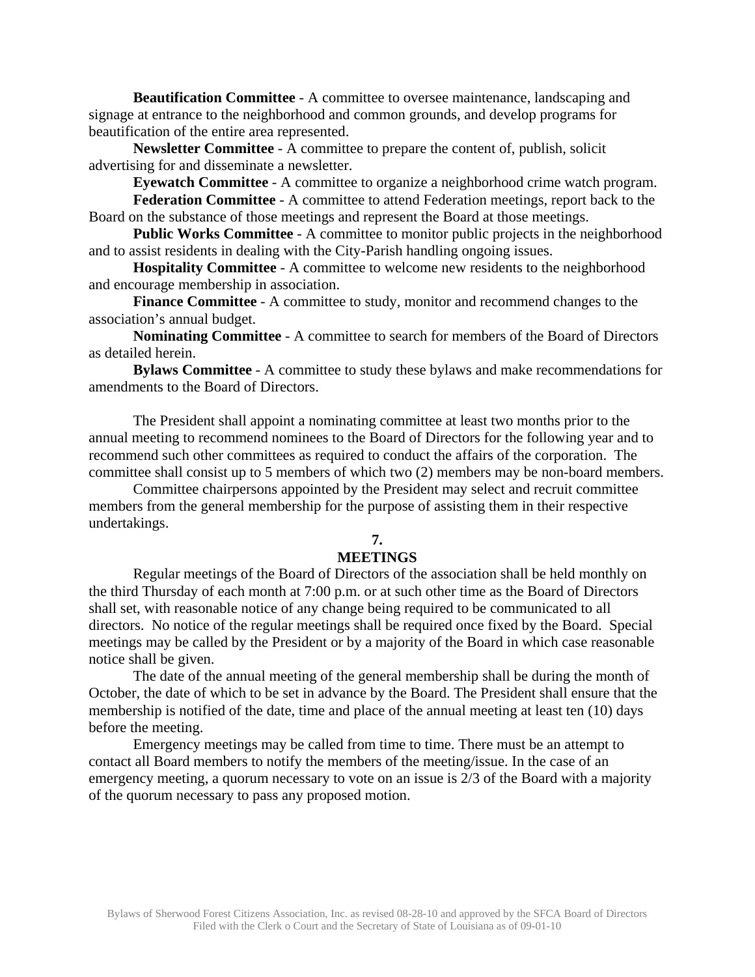**Beautification Committee** - A committee to oversee maintenance, landscaping and signage at entrance to the neighborhood and common grounds, and develop programs for beautification of the entire area represented.

**Newsletter Committee** - A committee to prepare the content of, publish, solicit advertising for and disseminate a newsletter.

**Eyewatch Committee** - A committee to organize a neighborhood crime watch program.

**Federation Committee** - A committee to attend Federation meetings, report back to the Board on the substance of those meetings and represent the Board at those meetings.

**Public Works Committee** - A committee to monitor public projects in the neighborhood and to assist residents in dealing with the City-Parish handling ongoing issues.

**Hospitality Committee** - A committee to welcome new residents to the neighborhood and encourage membership in association.

**Finance Committee** - A committee to study, monitor and recommend changes to the association's annual budget.

**Nominating Committee** - A committee to search for members of the Board of Directors as detailed herein.

**Bylaws Committee** - A committee to study these bylaws and make recommendations for amendments to the Board of Directors.

The President shall appoint a nominating committee at least two months prior to the annual meeting to recommend nominees to the Board of Directors for the following year and to recommend such other committees as required to conduct the affairs of the corporation. The committee shall consist up to 5 members of which two (2) members may be non-board members.

Committee chairpersons appointed by the President may select and recruit committee members from the general membership for the purpose of assisting them in their respective undertakings.

# **7.**

## **MEETINGS**

Regular meetings of the Board of Directors of the association shall be held monthly on the third Thursday of each month at 7:00 p.m. or at such other time as the Board of Directors shall set, with reasonable notice of any change being required to be communicated to all directors. No notice of the regular meetings shall be required once fixed by the Board. Special meetings may be called by the President or by a majority of the Board in which case reasonable notice shall be given.

The date of the annual meeting of the general membership shall be during the month of October, the date of which to be set in advance by the Board. The President shall ensure that the membership is notified of the date, time and place of the annual meeting at least ten (10) days before the meeting.

Emergency meetings may be called from time to time. There must be an attempt to contact all Board members to notify the members of the meeting/issue. In the case of an emergency meeting, a quorum necessary to vote on an issue is 2/3 of the Board with a majority of the quorum necessary to pass any proposed motion.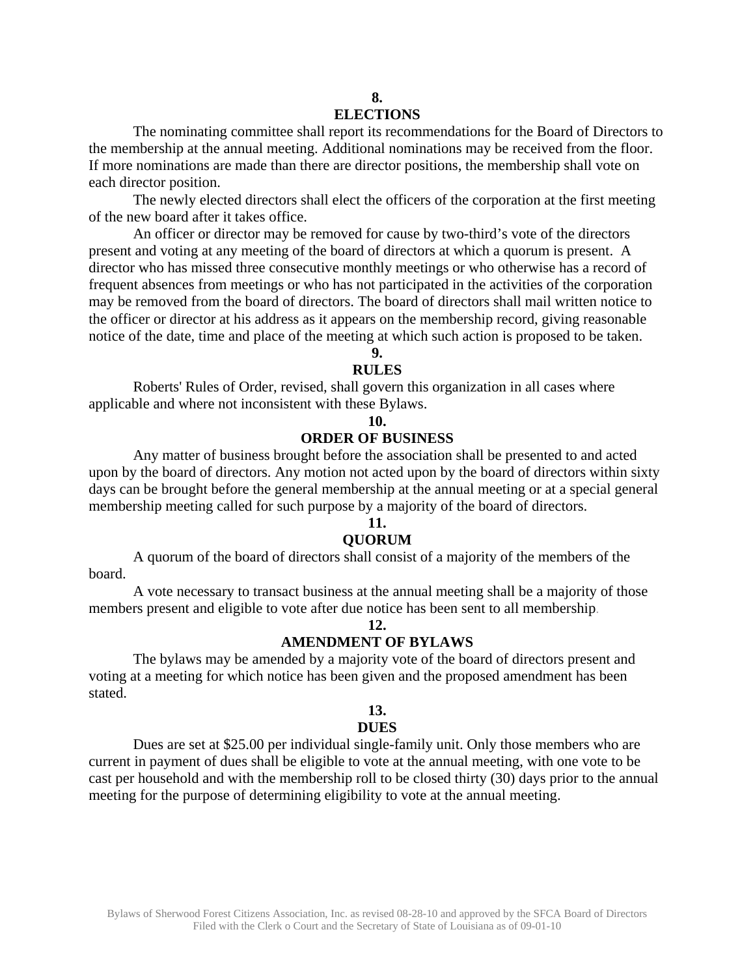# **8.**

## **ELECTIONS**

The nominating committee shall report its recommendations for the Board of Directors to the membership at the annual meeting. Additional nominations may be received from the floor. If more nominations are made than there are director positions, the membership shall vote on each director position.

The newly elected directors shall elect the officers of the corporation at the first meeting of the new board after it takes office.

An officer or director may be removed for cause by two-third's vote of the directors present and voting at any meeting of the board of directors at which a quorum is present. A director who has missed three consecutive monthly meetings or who otherwise has a record of frequent absences from meetings or who has not participated in the activities of the corporation may be removed from the board of directors. The board of directors shall mail written notice to the officer or director at his address as it appears on the membership record, giving reasonable notice of the date, time and place of the meeting at which such action is proposed to be taken.

**9.** 

#### **RULES**

Roberts' Rules of Order, revised, shall govern this organization in all cases where applicable and where not inconsistent with these Bylaws.

### **10.**

## **ORDER OF BUSINESS**

Any matter of business brought before the association shall be presented to and acted upon by the board of directors. Any motion not acted upon by the board of directors within sixty days can be brought before the general membership at the annual meeting or at a special general membership meeting called for such purpose by a majority of the board of directors.

## **11.**

#### **QUORUM**

A quorum of the board of directors shall consist of a majority of the members of the board.

A vote necessary to transact business at the annual meeting shall be a majority of those members present and eligible to vote after due notice has been sent to all membership.

### **12.**

### **AMENDMENT OF BYLAWS**

The bylaws may be amended by a majority vote of the board of directors present and voting at a meeting for which notice has been given and the proposed amendment has been stated.

### **13.**

### **DUES**

Dues are set at \$25.00 per individual single-family unit. Only those members who are current in payment of dues shall be eligible to vote at the annual meeting, with one vote to be cast per household and with the membership roll to be closed thirty (30) days prior to the annual meeting for the purpose of determining eligibility to vote at the annual meeting.